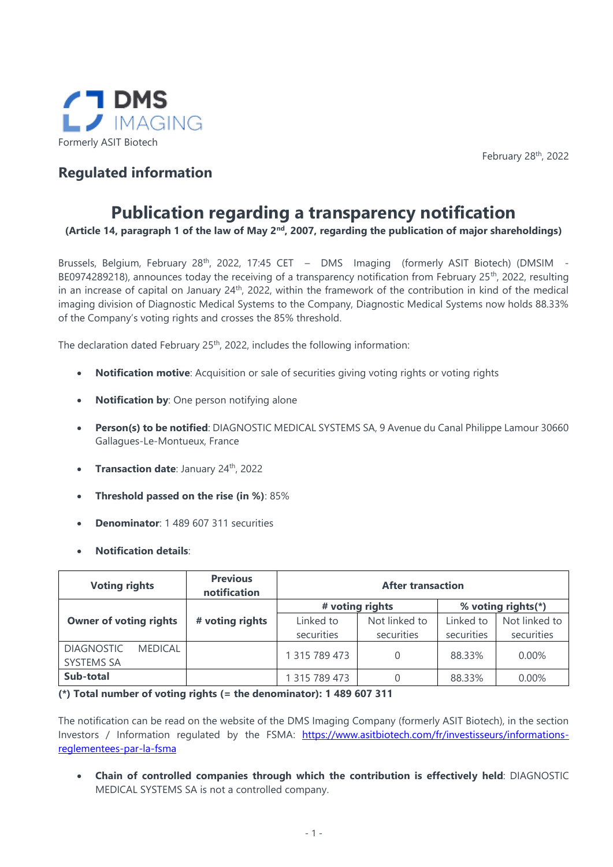

February 28th, 2022

## **Regulated information**

## **Publication regarding a transparency notification**

**(Article 14, paragraph 1 of the law of May 2nd, 2007, regarding the publication of major shareholdings)**

Brussels, Belgium, February 28<sup>th</sup>, 2022, 17:45 CET - DMS Imaging (formerly ASIT Biotech) (DMSIM -BE0974289218), announces today the receiving of a transparency notification from February 25<sup>th</sup>, 2022, resulting in an increase of capital on January 24th, 2022, within the framework of the contribution in kind of the medical imaging division of Diagnostic Medical Systems to the Company, Diagnostic Medical Systems now holds 88.33% of the Company's voting rights and crosses the 85% threshold.

The declaration dated February 25<sup>th</sup>, 2022, includes the following information:

- **Notification motive**: Acquisition or sale of securities giving voting rights or voting rights
- **Notification by**: One person notifying alone
- **Person(s) to be notified**: DIAGNOSTIC MEDICAL SYSTEMS SA, 9 Avenue du Canal Philippe Lamour 30660 Gallagues-Le-Montueux, France
- **Transaction date**: January 24th, 2022
- **Threshold passed on the rise (in %)**: 85%
- **Denominator**: 1 489 607 311 securities
- **Notification details**:

| <b>Voting rights</b>                                     | <b>Previous</b><br>notification | <b>After transaction</b> |                             |                         |                             |
|----------------------------------------------------------|---------------------------------|--------------------------|-----------------------------|-------------------------|-----------------------------|
|                                                          | # voting rights                 |                          |                             | % voting rights(*)      |                             |
| <b>Owner of voting rights</b>                            | # voting rights                 | Linked to<br>securities  | Not linked to<br>securities | Linked to<br>securities | Not linked to<br>securities |
| <b>DIAGNOSTIC</b><br><b>MEDICAL</b><br><b>SYSTEMS SA</b> |                                 | 1 315 789 473            | 0                           | 88.33%                  | 0.00%                       |
| Sub-total                                                |                                 | 315 789 473              |                             | 88.33%                  | 0.00%                       |

## **(\*) Total number of voting rights (= the denominator): 1 489 607 311**

The notification can be read on the website of the DMS Imaging Company (formerly ASIT Biotech), in the section Investors / Information regulated by the FSMA: [https://www.asitbiotech.com/fr/investisseurs/informations](https://www.asitbiotech.com/fr/investisseurs/informations-reglementees-par-la-fsma)[reglementees-par-la-fsma](https://www.asitbiotech.com/fr/investisseurs/informations-reglementees-par-la-fsma)

• **Chain of controlled companies through which the contribution is effectively held**: DIAGNOSTIC MEDICAL SYSTEMS SA is not a controlled company.